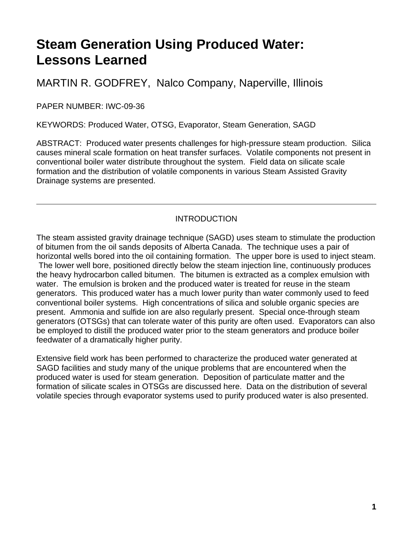# **Steam Generation Using Produced Water: Lessons Learned**

MARTIN R. GODFREY, Nalco Company, Naperville, Illinois

PAPER NUMBER: IWC-09-36

KEYWORDS: Produced Water, OTSG, Evaporator, Steam Generation, SAGD

ABSTRACT: Produced water presents challenges for high-pressure steam production. Silica causes mineral scale formation on heat transfer surfaces. Volatile components not present in conventional boiler water distribute throughout the system. Field data on silicate scale formation and the distribution of volatile components in various Steam Assisted Gravity Drainage systems are presented.

### INTRODUCTION

The steam assisted gravity drainage technique (SAGD) uses steam to stimulate the production of bitumen from the oil sands deposits of Alberta Canada. The technique uses a pair of horizontal wells bored into the oil containing formation. The upper bore is used to inject steam. The lower well bore, positioned directly below the steam injection line, continuously produces the heavy hydrocarbon called bitumen. The bitumen is extracted as a complex emulsion with water. The emulsion is broken and the produced water is treated for reuse in the steam generators. This produced water has a much lower purity than water commonly used to feed conventional boiler systems. High concentrations of silica and soluble organic species are present. Ammonia and sulfide ion are also regularly present. Special once-through steam generators (OTSGs) that can tolerate water of this purity are often used. Evaporators can also be employed to distill the produced water prior to the steam generators and produce boiler feedwater of a dramatically higher purity.

Extensive field work has been performed to characterize the produced water generated at SAGD facilities and study many of the unique problems that are encountered when the produced water is used for steam generation. Deposition of particulate matter and the formation of silicate scales in OTSGs are discussed here. Data on the distribution of several volatile species through evaporator systems used to purify produced water is also presented.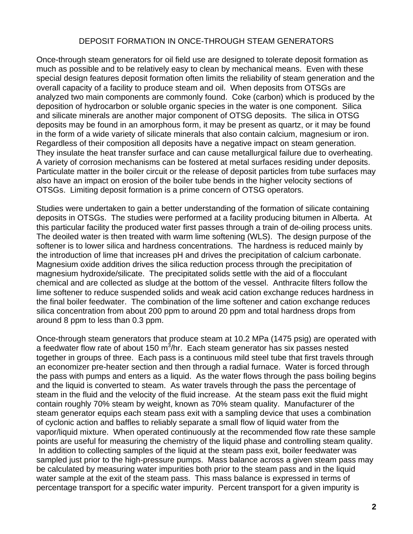#### DEPOSIT FORMATION IN ONCE-THROUGH STEAM GENERATORS

Once-through steam generators for oil field use are designed to tolerate deposit formation as much as possible and to be relatively easy to clean by mechanical means. Even with these special design features deposit formation often limits the reliability of steam generation and the overall capacity of a facility to produce steam and oil. When deposits from OTSGs are analyzed two main components are commonly found. Coke (carbon) which is produced by the deposition of hydrocarbon or soluble organic species in the water is one component. Silica and silicate minerals are another major component of OTSG deposits. The silica in OTSG deposits may be found in an amorphous form, it may be present as quartz, or it may be found in the form of a wide variety of silicate minerals that also contain calcium, magnesium or iron. Regardless of their composition all deposits have a negative impact on steam generation. They insulate the heat transfer surface and can cause metallurgical failure due to overheating. A variety of corrosion mechanisms can be fostered at metal surfaces residing under deposits. Particulate matter in the boiler circuit or the release of deposit particles from tube surfaces may also have an impact on erosion of the boiler tube bends in the higher velocity sections of OTSGs. Limiting deposit formation is a prime concern of OTSG operators.

Studies were undertaken to gain a better understanding of the formation of silicate containing deposits in OTSGs. The studies were performed at a facility producing bitumen in Alberta. At this particular facility the produced water first passes through a train of de-oiling process units. The deoiled water is then treated with warm lime softening (WLS). The design purpose of the softener is to lower silica and hardness concentrations. The hardness is reduced mainly by the introduction of lime that increases pH and drives the precipitation of calcium carbonate. Magnesium oxide addition drives the silica reduction process through the precipitation of magnesium hydroxide/silicate. The precipitated solids settle with the aid of a flocculant chemical and are collected as sludge at the bottom of the vessel. Anthracite filters follow the lime softener to reduce suspended solids and weak acid cation exchange reduces hardness in the final boiler feedwater. The combination of the lime softener and cation exchange reduces silica concentration from about 200 ppm to around 20 ppm and total hardness drops from around 8 ppm to less than 0.3 ppm.

Once-through steam generators that produce steam at 10.2 MPa (1475 psig) are operated with a feedwater flow rate of about 150  $m^3/n$ r. Each steam generator has six passes nested together in groups of three. Each pass is a continuous mild steel tube that first travels through an economizer pre-heater section and then through a radial furnace. Water is forced through the pass with pumps and enters as a liquid. As the water flows through the pass boiling begins and the liquid is converted to steam. As water travels through the pass the percentage of steam in the fluid and the velocity of the fluid increase. At the steam pass exit the fluid might contain roughly 70% steam by weight, known as 70% steam quality. Manufacturer of the steam generator equips each steam pass exit with a sampling device that uses a combination of cyclonic action and baffles to reliably separate a small flow of liquid water from the vapor/liquid mixture. When operated continuously at the recommended flow rate these sample points are useful for measuring the chemistry of the liquid phase and controlling steam quality. In addition to collecting samples of the liquid at the steam pass exit, boiler feedwater was sampled just prior to the high-pressure pumps. Mass balance across a given steam pass may be calculated by measuring water impurities both prior to the steam pass and in the liquid water sample at the exit of the steam pass. This mass balance is expressed in terms of percentage transport for a specific water impurity. Percent transport for a given impurity is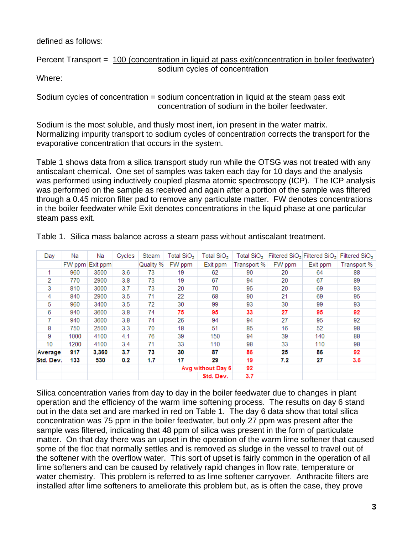defined as follows:

Percent Transport = 100 (concentration in liquid at pass exit/concentration in boiler feedwater) sodium cycles of concentration

Where:

Sodium cycles of concentration = sodium concentration in liquid at the steam pass exit concentration of sodium in the boiler feedwater.

Sodium is the most soluble, and thusly most inert, ion present in the water matrix. Normalizing impurity transport to sodium cycles of concentration corrects the transport for the evaporative concentration that occurs in the system.

Table 1 shows data from a silica transport study run while the OTSG was not treated with any antiscalant chemical. One set of samples was taken each day for 10 days and the analysis was performed using inductively coupled plasma atomic spectroscopy (ICP). The ICP analysis was performed on the sample as received and again after a portion of the sample was filtered through a 0.45 micron filter pad to remove any particulate matter. FW denotes concentrations in the boiler feedwater while Exit denotes concentrations in the liquid phase at one particular steam pass exit.

| Day       | Na     | Na       | Cycles  | Steam     | Total SiO <sub>2</sub> | Total SiO <sub>2</sub> | Total SiO <sub>2</sub> |        | Filtered $SiO2$ Filtered $SiO2$ | Filtered SiO <sub>2</sub> |
|-----------|--------|----------|---------|-----------|------------------------|------------------------|------------------------|--------|---------------------------------|---------------------------|
|           | FW ppm | Exit ppm |         | Quality % | FW ppm                 | Exit ppm               | Transport %            | FW ppm | Exit ppm                        | Transport %               |
|           | 960    | 3500     | 3.6     | 73        | 19                     | 62                     | 90                     | 20     | 64                              | 88                        |
| 2         | 770    | 2900     | 3.8     | 73        | 19                     | 67                     | 94                     | 20     | 67                              | 89                        |
| 3         | 810    | 3000     | 3.7     | 73        | 20                     | 70                     | 95                     | 20     | 69                              | 93                        |
| 4         | 840    | 2900     | 3.5     | 71        | 22                     | 68                     | 90                     | 21     | 69                              | 95                        |
| 5.        | 960    | 3400     | $3.5\,$ | 72        | 30                     | 99                     | 93                     | 30     | 99                              | 93                        |
| 6         | 940    | 3600     | 3.8     | 74        | 75                     | 95                     | 33                     | 27     | 95                              | 92                        |
|           | 940    | 3600     | 3.8     | 74        | 26                     | 94                     | 94                     | 27     | 95                              | 92                        |
| 8         | 750    | 2500     | 3.3     | 70        | 18                     | 51                     | 85                     | 16     | 52                              | 98                        |
| 9         | 1000   | 4100     | 4.1     | 76        | 39                     | 150                    | 94                     | 39     | 140                             | 88                        |
| 10        | 1200   | 4100     | 3.4     | 71        | 33                     | 110                    | 98                     | 33     | 110                             | 98                        |
| Average   | 917    | 3,360    | 3.7     | 73        | 30                     | 87                     | 86                     | 25     | 86                              | 92                        |
| Std. Dev. | 133    | 530      | 0.2     | 1.7       | 17                     | 29                     | 19                     | 7.2    | 27                              | 3.6                       |
|           |        |          |         |           | Avg without Day 6      |                        | 92                     |        |                                 |                           |
|           |        |          |         |           |                        | Std. Dev.              | 3.7                    |        |                                 |                           |

Table 1. Silica mass balance across a steam pass without antiscalant treatment.

Silica concentration varies from day to day in the boiler feedwater due to changes in plant operation and the efficiency of the warm lime softening process. The results on day 6 stand out in the data set and are marked in red on Table 1. The day 6 data show that total silica concentration was 75 ppm in the boiler feedwater, but only 27 ppm was present after the sample was filtered, indicating that 48 ppm of silica was present in the form of particulate matter. On that day there was an upset in the operation of the warm lime softener that caused some of the floc that normally settles and is removed as sludge in the vessel to travel out of the softener with the overflow water. This sort of upset is fairly common in the operation of all lime softeners and can be caused by relatively rapid changes in flow rate, temperature or water chemistry. This problem is referred to as lime softener carryover. Anthracite filters are installed after lime softeners to ameliorate this problem but, as is often the case, they prove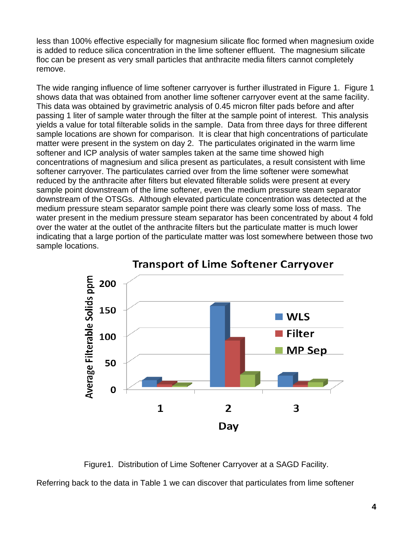less than 100% effective especially for magnesium silicate floc formed when magnesium oxide is added to reduce silica concentration in the lime softener effluent. The magnesium silicate floc can be present as very small particles that anthracite media filters cannot completely remove.

The wide ranging influence of lime softener carryover is further illustrated in Figure 1. Figure 1 shows data that was obtained from another lime softener carryover event at the same facility. This data was obtained by gravimetric analysis of 0.45 micron filter pads before and after passing 1 liter of sample water through the filter at the sample point of interest. This analysis yields a value for total filterable solids in the sample. Data from three days for three different sample locations are shown for comparison. It is clear that high concentrations of particulate matter were present in the system on day 2. The particulates originated in the warm lime softener and ICP analysis of water samples taken at the same time showed high concentrations of magnesium and silica present as particulates, a result consistent with lime softener carryover. The particulates carried over from the lime softener were somewhat reduced by the anthracite after filters but elevated filterable solids were present at every sample point downstream of the lime softener, even the medium pressure steam separator downstream of the OTSGs. Although elevated particulate concentration was detected at the medium pressure steam separator sample point there was clearly some loss of mass. The water present in the medium pressure steam separator has been concentrated by about 4 fold over the water at the outlet of the anthracite filters but the particulate matter is much lower indicating that a large portion of the particulate matter was lost somewhere between those two sample locations.



**Transport of Lime Softener Carryover** 

Figure1. Distribution of Lime Softener Carryover at a SAGD Facility.

Referring back to the data in Table 1 we can discover that particulates from lime softener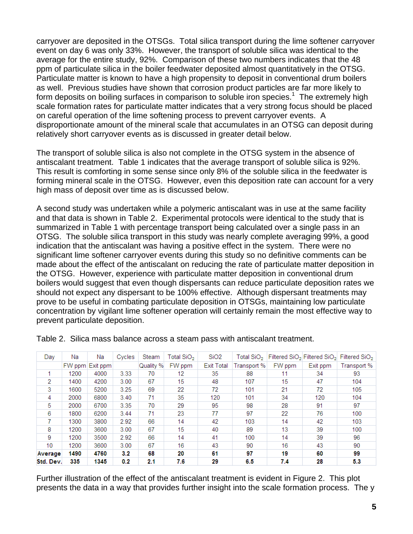carryover are deposited in the OTSGs. Total silica transport during the lime softener carryover event on day 6 was only 33%. However, the transport of soluble silica was identical to the average for the entire study, 92%. Comparison of these two numbers indicates that the 48 ppm of particulate silica in the boiler feedwater deposited almost quantitatively in the OTSG. Particulate matter is known to have a high propensity to deposit in conventional drum boilers as well. Previous studies have shown that corrosion product particles are far more likely to form deposits on boiling surfaces in comparison to soluble iron species.<sup>1</sup> The extremely high scale formation rates for particulate matter indicates that a very strong focus should be placed on careful operation of the lime softening process to prevent carryover events. A disproportionate amount of the mineral scale that accumulates in an OTSG can deposit during relatively short carryover events as is discussed in greater detail below.

The transport of soluble silica is also not complete in the OTSG system in the absence of antiscalant treatment. Table 1 indicates that the average transport of soluble silica is 92%. This result is comforting in some sense since only 8% of the soluble silica in the feedwater is forming mineral scale in the OTSG. However, even this deposition rate can account for a very high mass of deposit over time as is discussed below.

A second study was undertaken while a polymeric antiscalant was in use at the same facility and that data is shown in Table 2. Experimental protocols were identical to the study that is summarized in Table 1 with percentage transport being calculated over a single pass in an OTSG. The soluble silica transport in this study was nearly complete averaging 99%, a good indication that the antiscalant was having a positive effect in the system. There were no significant lime softener carryover events during this study so no definitive comments can be made about the effect of the antiscalant on reducing the rate of particulate matter deposition in the OTSG. However, experience with particulate matter deposition in conventional drum boilers would suggest that even though dispersants can reduce particulate deposition rates we should not expect any dispersant to be 100% effective. Although dispersant treatments may prove to be useful in combating particulate deposition in OTSGs, maintaining low particulate concentration by vigilant lime softener operation will certainly remain the most effective way to prevent particulate deposition.

| Day             | Na   | Na              | Cycles | Steam     | Total SiO <sub>2</sub> | SiO <sub>2</sub>  | Total SiO <sub>2</sub> |        |          | Filtered $SiO2$ Filtered $SiO2$ Filtered $SiO2$ |
|-----------------|------|-----------------|--------|-----------|------------------------|-------------------|------------------------|--------|----------|-------------------------------------------------|
|                 |      | FW ppm Exit ppm |        | Quality % | FW ppm                 | <b>Exit Total</b> | Transport %            | FW ppm | Exit ppm | Transport %                                     |
|                 | 1200 | 4000            | 3.33   | 70        | 12                     | 35                | 88                     |        | 34       | 93                                              |
| 2               | 1400 | 4200            | 3.00   | 67        | 15                     | 48                | 107                    | 15     | 47       | 104                                             |
| 3               | 1600 | 5200            | 3.25   | 69        | 22                     | 72                | 101                    | 21     | 72       | 105                                             |
| 4               | 2000 | 6800            | 3.40   | 71        | 35                     | 120               | 101                    | 34     | 120      | 104                                             |
| 5.              | 2000 | 6700            | 3.35   | 70        | 29                     | 95                | 98                     | 28     | 91       | 97                                              |
| 6               | 1800 | 6200            | 3.44   | 71        | 23                     | 77                | 97                     | 22     | 76       | 100                                             |
|                 | 1300 | 3800            | 2.92   | 66        | 14                     | 42                | 103                    | 14     | 42       | 103                                             |
| 8               | 1200 | 3600            | 3.00   | 67        | 15                     | 40                | 89                     | 13     | 39       | 100                                             |
| -9              | 1200 | 3500            | 2.92   | 66        | 14                     | 41                | 100                    | 14     | 39       | 96                                              |
| 10 <sup>°</sup> | 1200 | 3600            | 3.00   | 67        | 16                     | 43                | 90                     | 16     | 43       | 90                                              |
| Average         | 1490 | 4760            | 3.2    | 68        | 20                     | 61                | 97                     | 19     | 60       | 99                                              |
| Std. Dev.       | 335  | 1345            | 0.2    | 2.1       | 7.6                    | 29                | 6.5                    | 7.4    | 28       | 5.3                                             |

Table 2. Silica mass balance across a steam pass with antiscalant treatment.

Further illustration of the effect of the antiscalant treatment is evident in Figure 2. This plot presents the data in a way that provides further insight into the scale formation process. The y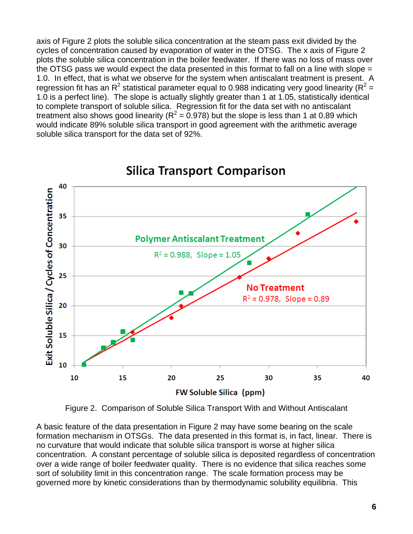axis of Figure 2 plots the soluble silica concentration at the steam pass exit divided by the cycles of concentration caused by evaporation of water in the OTSG. The x axis of Figure 2 plots the soluble silica concentration in the boiler feedwater. If there was no loss of mass over the OTSG pass we would expect the data presented in this format to fall on a line with slope  $=$ 1.0. In effect, that is what we observe for the system when antiscalant treatment is present. A regression fit has an R<sup>2</sup> statistical parameter equal to 0.988 indicating very good linearity (R<sup>2</sup> = 1.0 is a perfect line). The slope is actually slightly greater than 1 at 1.05, statistically identical to complete transport of soluble silica. Regression fit for the data set with no antiscalant treatment also shows good linearity ( $R^2$  = 0.978) but the slope is less than 1 at 0.89 which would indicate 89% soluble silica transport in good agreement with the arithmetic average soluble silica transport for the data set of 92%.



## **Silica Transport Comparison**

Figure 2. Comparison of Soluble Silica Transport With and Without Antiscalant

A basic feature of the data presentation in Figure 2 may have some bearing on the scale formation mechanism in OTSGs. The data presented in this format is, in fact, linear. There is no curvature that would indicate that soluble silica transport is worse at higher silica concentration. A constant percentage of soluble silica is deposited regardless of concentration over a wide range of boiler feedwater quality. There is no evidence that silica reaches some sort of solubility limit in this concentration range. The scale formation process may be governed more by kinetic considerations than by thermodynamic solubility equilibria. This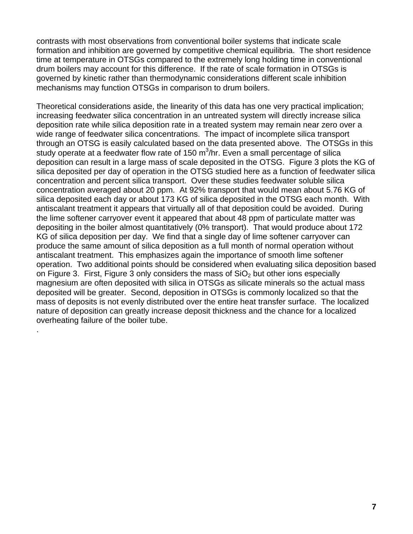contrasts with most observations from conventional boiler systems that indicate scale formation and inhibition are governed by competitive chemical equilibria. The short residence time at temperature in OTSGs compared to the extremely long holding time in conventional drum boilers may account for this difference. If the rate of scale formation in OTSGs is governed by kinetic rather than thermodynamic considerations different scale inhibition mechanisms may function OTSGs in comparison to drum boilers.

Theoretical considerations aside, the linearity of this data has one very practical implication; increasing feedwater silica concentration in an untreated system will directly increase silica deposition rate while silica deposition rate in a treated system may remain near zero over a wide range of feedwater silica concentrations. The impact of incomplete silica transport through an OTSG is easily calculated based on the data presented above. The OTSGs in this study operate at a feedwater flow rate of 150  $m^3/n$ r. Even a small percentage of silica deposition can result in a large mass of scale deposited in the OTSG. Figure 3 plots the KG of silica deposited per day of operation in the OTSG studied here as a function of feedwater silica concentration and percent silica transport. Over these studies feedwater soluble silica concentration averaged about 20 ppm. At 92% transport that would mean about 5.76 KG of silica deposited each day or about 173 KG of silica deposited in the OTSG each month. With antiscalant treatment it appears that virtually all of that deposition could be avoided. During the lime softener carryover event it appeared that about 48 ppm of particulate matter was depositing in the boiler almost quantitatively (0% transport). That would produce about 172 KG of silica deposition per day. We find that a single day of lime softener carryover can produce the same amount of silica deposition as a full month of normal operation without antiscalant treatment. This emphasizes again the importance of smooth lime softener operation. Two additional points should be considered when evaluating silica deposition based on Figure 3. First, Figure 3 only considers the mass of  $SiO<sub>2</sub>$  but other ions especially magnesium are often deposited with silica in OTSGs as silicate minerals so the actual mass deposited will be greater. Second, deposition in OTSGs is commonly localized so that the mass of deposits is not evenly distributed over the entire heat transfer surface. The localized nature of deposition can greatly increase deposit thickness and the chance for a localized overheating failure of the boiler tube.

.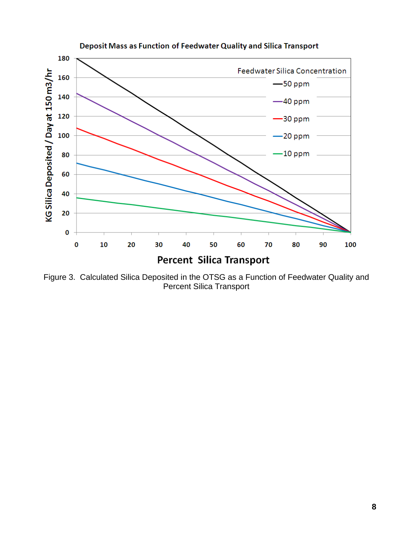

Deposit Mass as Function of Feedwater Quality and Silica Transport

Figure 3. Calculated Silica Deposited in the OTSG as a Function of Feedwater Quality and Percent Silica Transport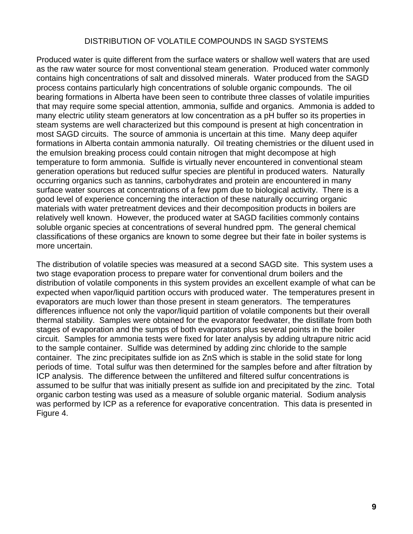#### DISTRIBUTION OF VOLATILE COMPOUNDS IN SAGD SYSTEMS

Produced water is quite different from the surface waters or shallow well waters that are used as the raw water source for most conventional steam generation. Produced water commonly contains high concentrations of salt and dissolved minerals. Water produced from the SAGD process contains particularly high concentrations of soluble organic compounds. The oil bearing formations in Alberta have been seen to contribute three classes of volatile impurities that may require some special attention, ammonia, sulfide and organics. Ammonia is added to many electric utility steam generators at low concentration as a pH buffer so its properties in steam systems are well characterized but this compound is present at high concentration in most SAGD circuits. The source of ammonia is uncertain at this time. Many deep aquifer formations in Alberta contain ammonia naturally. Oil treating chemistries or the diluent used in the emulsion breaking process could contain nitrogen that might decompose at high temperature to form ammonia. Sulfide is virtually never encountered in conventional steam generation operations but reduced sulfur species are plentiful in produced waters. Naturally occurring organics such as tannins, carbohydrates and protein are encountered in many surface water sources at concentrations of a few ppm due to biological activity. There is a good level of experience concerning the interaction of these naturally occurring organic materials with water pretreatment devices and their decomposition products in boilers are relatively well known. However, the produced water at SAGD facilities commonly contains soluble organic species at concentrations of several hundred ppm. The general chemical classifications of these organics are known to some degree but their fate in boiler systems is more uncertain.

The distribution of volatile species was measured at a second SAGD site. This system uses a two stage evaporation process to prepare water for conventional drum boilers and the distribution of volatile components in this system provides an excellent example of what can be expected when vapor/liquid partition occurs with produced water. The temperatures present in evaporators are much lower than those present in steam generators. The temperatures differences influence not only the vapor/liquid partition of volatile components but their overall thermal stability. Samples were obtained for the evaporator feedwater, the distillate from both stages of evaporation and the sumps of both evaporators plus several points in the boiler circuit. Samples for ammonia tests were fixed for later analysis by adding ultrapure nitric acid to the sample container. Sulfide was determined by adding zinc chloride to the sample container. The zinc precipitates sulfide ion as ZnS which is stable in the solid state for long periods of time. Total sulfur was then determined for the samples before and after filtration by ICP analysis. The difference between the unfiltered and filtered sulfur concentrations is assumed to be sulfur that was initially present as sulfide ion and precipitated by the zinc. Total organic carbon testing was used as a measure of soluble organic material. Sodium analysis was performed by ICP as a reference for evaporative concentration. This data is presented in Figure 4.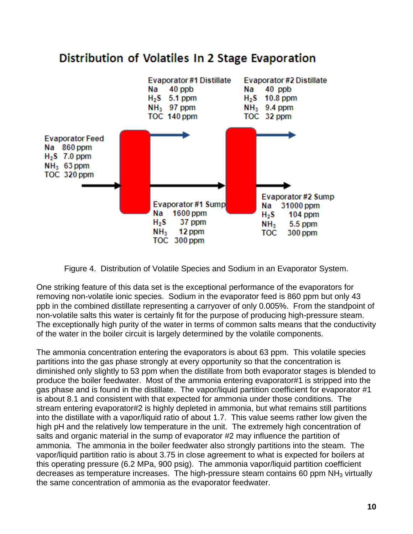

## Distribution of Volatiles In 2 Stage Evaporation

Figure 4. Distribution of Volatile Species and Sodium in an Evaporator System.

One striking feature of this data set is the exceptional performance of the evaporators for removing non-volatile ionic species. Sodium in the evaporator feed is 860 ppm but only 43 ppb in the combined distillate representing a carryover of only 0.005%. From the standpoint of non-volatile salts this water is certainly fit for the purpose of producing high-pressure steam. The exceptionally high purity of the water in terms of common salts means that the conductivity of the water in the boiler circuit is largely determined by the volatile components.

The ammonia concentration entering the evaporators is about 63 ppm. This volatile species partitions into the gas phase strongly at every opportunity so that the concentration is diminished only slightly to 53 ppm when the distillate from both evaporator stages is blended to produce the boiler feedwater. Most of the ammonia entering evaporator#1 is stripped into the gas phase and is found in the distillate. The vapor/liquid partition coefficient for evaporator #1 is about 8.1 and consistent with that expected for ammonia under those conditions. The stream entering evaporator#2 is highly depleted in ammonia, but what remains still partitions into the distillate with a vapor/liquid ratio of about 1.7. This value seems rather low given the high pH and the relatively low temperature in the unit. The extremely high concentration of salts and organic material in the sump of evaporator #2 may influence the partition of ammonia. The ammonia in the boiler feedwater also strongly partitions into the steam. The vapor/liquid partition ratio is about 3.75 in close agreement to what is expected for boilers at this operating pressure (6.2 MPa, 900 psig). The ammonia vapor/liquid partition coefficient decreases as temperature increases. The high-pressure steam contains 60 ppm  $NH<sub>3</sub>$  virtually the same concentration of ammonia as the evaporator feedwater.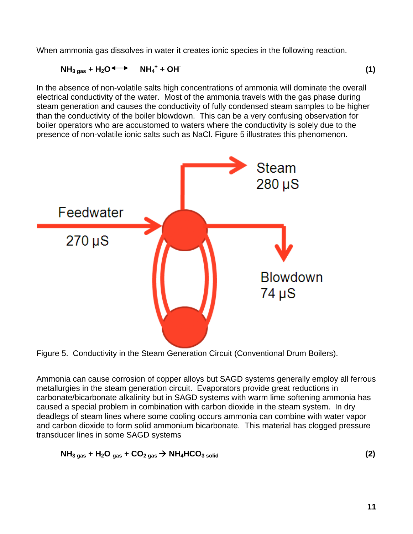When ammonia gas dissolves in water it creates ionic species in the following reaction.

$$
NH_{3 \text{ gas}} + H_2O \longrightarrow NH_4^+ + OH^+ \tag{1}
$$

In the absence of non-volatile salts high concentrations of ammonia will dominate the overall electrical conductivity of the water. Most of the ammonia travels with the gas phase during steam generation and causes the conductivity of fully condensed steam samples to be higher than the conductivity of the boiler blowdown. This can be a very confusing observation for boiler operators who are accustomed to waters where the conductivity is solely due to the presence of non-volatile ionic salts such as NaCl. Figure 5 illustrates this phenomenon.



Figure 5. Conductivity in the Steam Generation Circuit (Conventional Drum Boilers).

Ammonia can cause corrosion of copper alloys but SAGD systems generally employ all ferrous metallurgies in the steam generation circuit. Evaporators provide great reductions in carbonate/bicarbonate alkalinity but in SAGD systems with warm lime softening ammonia has caused a special problem in combination with carbon dioxide in the steam system. In dry deadlegs of steam lines where some cooling occurs ammonia can combine with water vapor and carbon dioxide to form solid ammonium bicarbonate. This material has clogged pressure transducer lines in some SAGD systems

$$
NH3 gas + H2Ogas + CO2 gas \rightarrow NH4HCO3 solid
$$
 (2)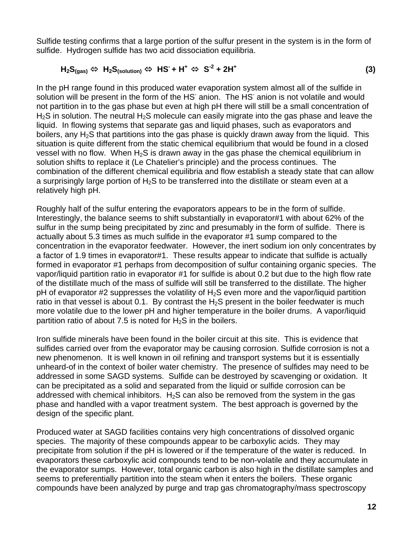Sulfide testing confirms that a large portion of the sulfur present in the system is in the form of sulfide. Hydrogen sulfide has two acid dissociation equilibria.

 $H_2S_{(gas)} \Leftrightarrow H_2S_{(solution)} \Leftrightarrow HS^+ + H^+ \Leftrightarrow S^{-2} + 2H^+$  **(3)** 

In the pH range found in this produced water evaporation system almost all of the sulfide in solution will be present in the form of the HS anion. The HS anion is not volatile and would not partition in to the gas phase but even at high pH there will still be a small concentration of H<sub>2</sub>S in solution. The neutral H<sub>2</sub>S molecule can easily migrate into the gas phase and leave the liquid. In flowing systems that separate gas and liquid phases, such as evaporators and boilers, any  $H_2S$  that partitions into the gas phase is quickly drawn away from the liquid. This situation is quite different from the static chemical equilibrium that would be found in a closed vessel with no flow. When  $H_2S$  is drawn away in the gas phase the chemical equilibrium in solution shifts to replace it (Le Chatelier's principle) and the process continues. The combination of the different chemical equilibria and flow establish a steady state that can allow a surprisingly large portion of  $H_2S$  to be transferred into the distillate or steam even at a relatively high pH.

Roughly half of the sulfur entering the evaporators appears to be in the form of sulfide. Interestingly, the balance seems to shift substantially in evaporator#1 with about 62% of the sulfur in the sump being precipitated by zinc and presumably in the form of sulfide. There is actually about 5.3 times as much sulfide in the evaporator #1 sump compared to the concentration in the evaporator feedwater. However, the inert sodium ion only concentrates by a factor of 1.9 times in evaporator#1. These results appear to indicate that sulfide is actually formed in evaporator #1 perhaps from decomposition of sulfur containing organic species. The vapor/liquid partition ratio in evaporator #1 for sulfide is about 0.2 but due to the high flow rate of the distillate much of the mass of sulfide will still be transferred to the distillate. The higher pH of evaporator #2 suppresses the volatility of  $H_2S$  even more and the vapor/liquid partition ratio in that vessel is about 0.1. By contrast the  $H_2S$  present in the boiler feedwater is much more volatile due to the lower pH and higher temperature in the boiler drums. A vapor/liquid partition ratio of about 7.5 is noted for  $H_2S$  in the boilers.

Iron sulfide minerals have been found in the boiler circuit at this site. This is evidence that sulfides carried over from the evaporator may be causing corrosion. Sulfide corrosion is not a new phenomenon. It is well known in oil refining and transport systems but it is essentially unheard-of in the context of boiler water chemistry. The presence of sulfides may need to be addressed in some SAGD systems. Sulfide can be destroyed by scavenging or oxidation. It can be precipitated as a solid and separated from the liquid or sulfide corrosion can be addressed with chemical inhibitors.  $H_2S$  can also be removed from the system in the gas phase and handled with a vapor treatment system. The best approach is governed by the design of the specific plant.

Produced water at SAGD facilities contains very high concentrations of dissolved organic species. The majority of these compounds appear to be carboxylic acids. They may precipitate from solution if the pH is lowered or if the temperature of the water is reduced. In evaporators these carboxylic acid compounds tend to be non-volatile and they accumulate in the evaporator sumps. However, total organic carbon is also high in the distillate samples and seems to preferentially partition into the steam when it enters the boilers. These organic compounds have been analyzed by purge and trap gas chromatography/mass spectroscopy